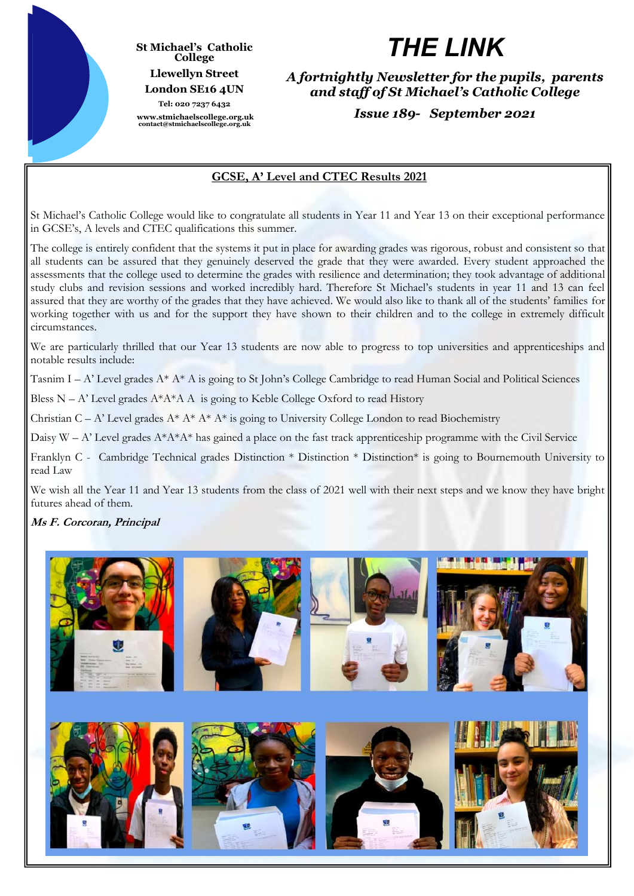

#### **St Michael's Catholic College Llewellyn Street London SE16 4UN Tel: 020 7237 6432**

**www.stmichaelscollege.org.uk contact@stmichaelscollege.org.uk**

# *THE LINK*

*A fortnightly Newsletter for the pupils, parents and staff of St Michael's Catholic College*

*Issue 189- September 2021*

# **GCSE, A' Level and CTEC Results 2021**

St Michael's Catholic College would like to congratulate all students in Year 11 and Year 13 on their exceptional performance in GCSE's, A levels and CTEC qualifications this summer.

The college is entirely confident that the systems it put in place for awarding grades was rigorous, robust and consistent so that all students can be assured that they genuinely deserved the grade that they were awarded. Every student approached the assessments that the college used to determine the grades with resilience and determination; they took advantage of additional study clubs and revision sessions and worked incredibly hard. Therefore St Michael's students in year 11 and 13 can feel assured that they are worthy of the grades that they have achieved. We would also like to thank all of the students' families for working together with us and for the support they have shown to their children and to the college in extremely difficult circumstances.

We are particularly thrilled that our Year 13 students are now able to progress to top universities and apprenticeships and notable results include:

Tasnim I – A' Level grades  $A^* A^* A$  is going to St John's College Cambridge to read Human Social and Political Sciences

Bless N – A' Level grades  $A^*A^*A A$  is going to Keble College Oxford to read History

Christian C – A' Level grades  $A^* A^* A^* A^*$  is going to University College London to read Biochemistry

Daisy  $W - A'$  Level grades  $A^*A^*A^*$  has gained a place on the fast track apprenticeship programme with the Civil Service

Franklyn C - Cambridge Technical grades Distinction \* Distinction \* Distinction\* is going to Bournemouth University to read Law

We wish all the Year 11 and Year 13 students from the class of 2021 well with their next steps and we know they have bright futures ahead of them.

## **Ms F. Corcoran, Principal**

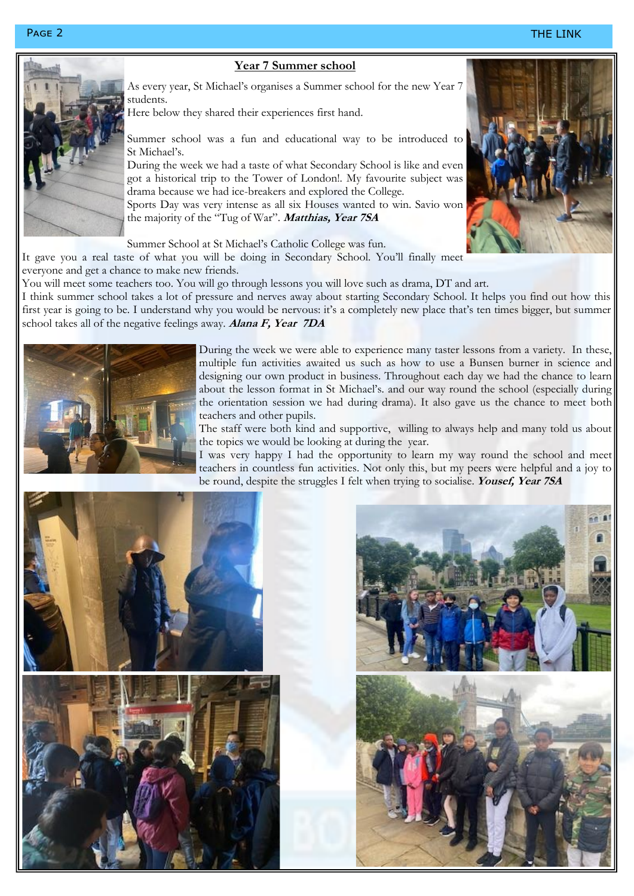### Page 2 THE LINK



### **Year 7 Summer school**

As every year, St Michael's organises a Summer school for the new Year 7 students.

Here below they shared their experiences first hand.

Summer school was a fun and educational way to be introduced to St Michael's.

During the week we had a taste of what Secondary School is like and even got a historical trip to the Tower of London!. My favourite subject was drama because we had ice-breakers and explored the College.

Sports Day was very intense as all six Houses wanted to win. Savio won the majority of the "Tug of War". **Matthias, Year 7SA**

Summer School at St Michael's Catholic College was fun.

It gave you a real taste of what you will be doing in Secondary School. You'll finally meet

everyone and get a chance to make new friends.

You will meet some teachers too. You will go through lessons you will love such as drama, DT and art.

I think summer school takes a lot of pressure and nerves away about starting Secondary School. It helps you find out how this first year is going to be. I understand why you would be nervous: it's a completely new place that's ten times bigger, but summer school takes all of the negative feelings away. **Alana F, Year 7DA**



During the week we were able to experience many taster lessons from a variety. In these, multiple fun activities awaited us such as how to use a Bunsen burner in science and designing our own product in business. Throughout each day we had the chance to learn about the lesson format in St Michael's. and our way round the school (especially during the orientation session we had during drama). It also gave us the chance to meet both teachers and other pupils.

The staff were both kind and supportive, willing to always help and many told us about the topics we would be looking at during the year.

I was very happy I had the opportunity to learn my way round the school and meet teachers in countless fun activities. Not only this, but my peers were helpful and a joy to be round, despite the struggles I felt when trying to socialise. **Yousef, Year 7SA**



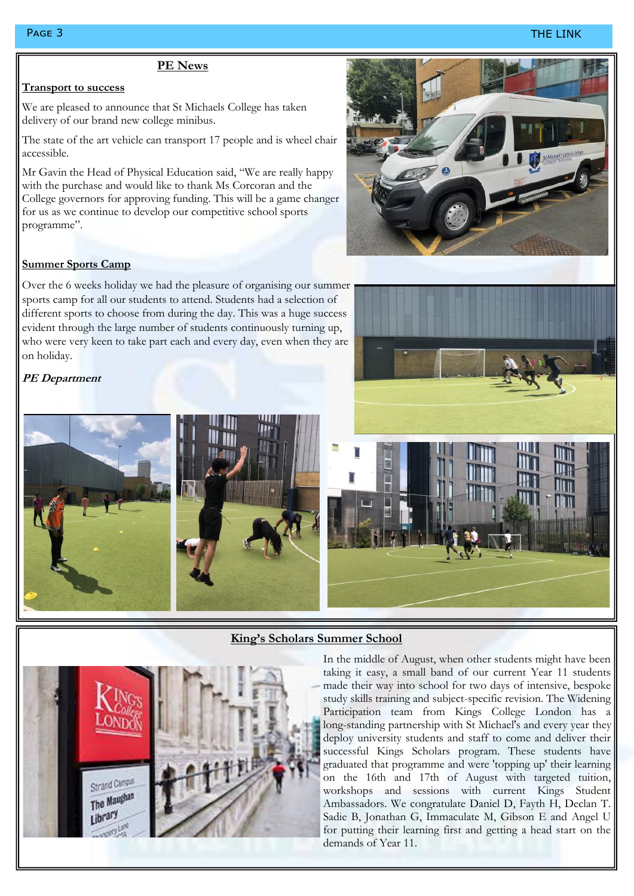#### Page 3 THE LINK

#### **PE News**

#### **Transport to success**

We are pleased to announce that St Michaels College has taken delivery of our brand new college minibus.

The state of the art vehicle can transport 17 people and is wheel chair accessible.

Mr Gavin the Head of Physical Education said, "We are really happy with the purchase and would like to thank Ms Corcoran and the College governors for approving funding. This will be a game changer for us as we continue to develop our competitive school sports programme".

#### **Summer Sports Camp**

Over the 6 weeks holiday we had the pleasure of organising our summer sports camp for all our students to attend. Students had a selection of different sports to choose from during the day. This was a huge success evident through the large number of students continuously turning up, who were very keen to take part each and every day, even when they are on holiday.

#### **PE Department**







#### **King's Scholars Summer School**

Strand Campu The Maughan I ibrar

# In the middle of August, when other students might have been taking it easy, a small band of our current Year 11 students made their way into school for two days of intensive, bespoke study skills training and subject-specific revision. The Widening

Participation team from Kings College London has a long-standing partnership with St Michael's and every year they deploy university students and staff to come and deliver their successful Kings Scholars program. These students have graduated that programme and were 'topping up' their learning on the 16th and 17th of August with targeted tuition, workshops and sessions with current Kings Student Ambassadors. We congratulate Daniel D, Fayth H, Declan T. Sadie B, Jonathan G, Immaculate M, Gibson E and Angel U for putting their learning first and getting a head start on the demands of Year 11.